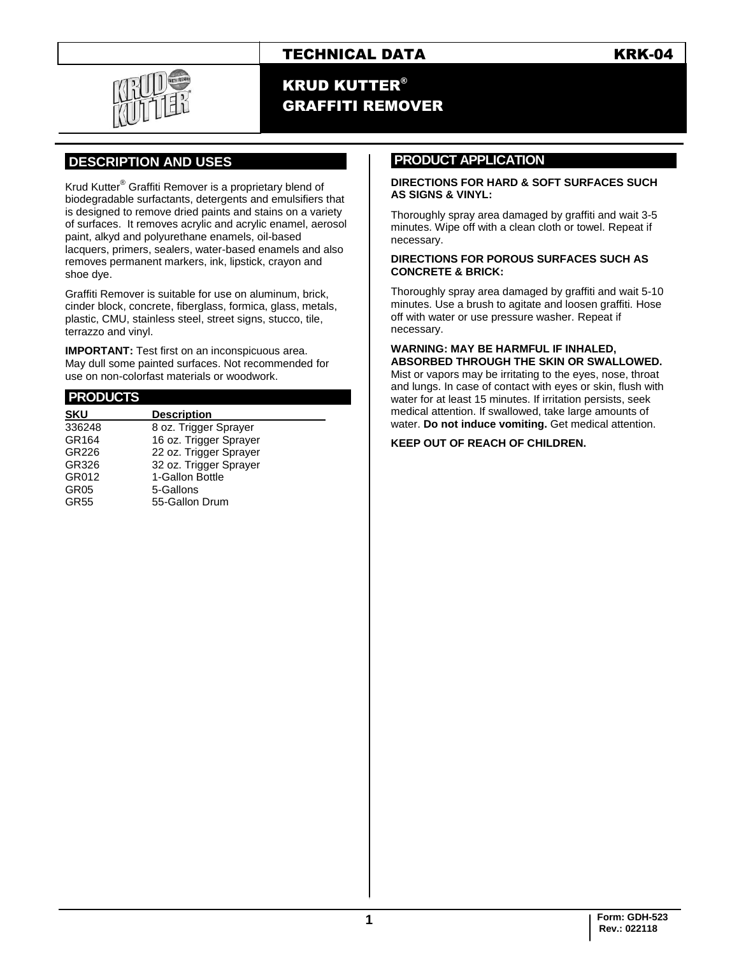## TECHNICAL DATA KRK-04

## KRUD KUTTER® GRAFFITI REMOVER

## **.DESCRIPTION AND USES .**

Krud Kutter® Graffiti Remover is a proprietary blend of biodegradable surfactants, detergents and emulsifiers that is designed to remove dried paints and stains on a variety of surfaces. It removes acrylic and acrylic enamel, aerosol paint, alkyd and polyurethane enamels, oil-based lacquers, primers, sealers, water-based enamels and also removes permanent markers, ink, lipstick, crayon and shoe dye.

Graffiti Remover is suitable for use on aluminum, brick, cinder block, concrete, fiberglass, formica, glass, metals, plastic, CMU, stainless steel, street signs, stucco, tile, terrazzo and vinyl.

**IMPORTANT:** Test first on an inconspicuous area. May dull some painted surfaces. Not recommended for use on non-colorfast materials or woodwork.

| <b>PRODUCTS</b>  |                        |
|------------------|------------------------|
| <b>SKU</b>       | <b>Description</b>     |
| 336248           | 8 oz. Trigger Sprayer  |
| GR164            | 16 oz. Trigger Sprayer |
| GR226            | 22 oz. Trigger Sprayer |
| GR326            | 32 oz. Trigger Sprayer |
| GR012            | 1-Gallon Bottle        |
| GR <sub>05</sub> | 5-Gallons              |
| <b>GR55</b>      | 55-Gallon Drum         |
|                  |                        |

## **PRODUCT APPLICATION .**

#### **DIRECTIONS FOR HARD & SOFT SURFACES SUCH AS SIGNS & VINYL:**

Thoroughly spray area damaged by graffiti and wait 3-5 minutes. Wipe off with a clean cloth or towel. Repeat if necessary.

#### **DIRECTIONS FOR POROUS SURFACES SUCH AS CONCRETE & BRICK:**

Thoroughly spray area damaged by graffiti and wait 5-10 minutes. Use a brush to agitate and loosen graffiti. Hose off with water or use pressure washer. Repeat if necessary.

#### **WARNING: MAY BE HARMFUL IF INHALED, ABSORBED THROUGH THE SKIN OR SWALLOWED.**

Mist or vapors may be irritating to the eyes, nose, throat and lungs. In case of contact with eyes or skin, flush with water for at least 15 minutes. If irritation persists, seek medical attention. If swallowed, take large amounts of water. **Do not induce vomiting.** Get medical attention.

#### **KEEP OUT OF REACH OF CHILDREN.**